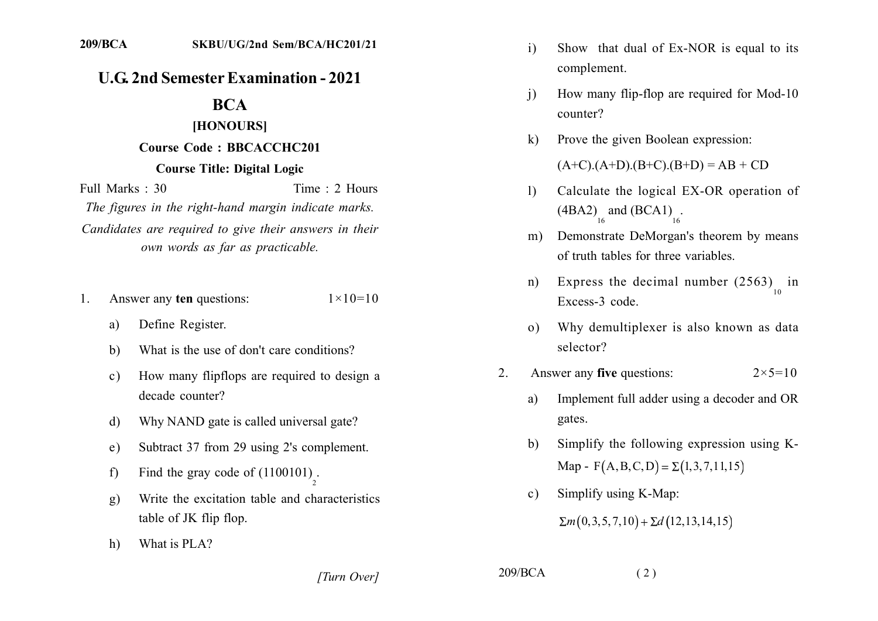## **U.G. 2nd Semester Examination - 2021**

## **BCA**

## **IHONOURS1**

## **Course Code: BBCACCHC201 Course Title: Digital Logic**

Full Marks: 30 Time: 2 Hours The figures in the right-hand margin indicate marks. Candidates are required to give their answers in their *own words as far as practicable.* 

- 1. Answer any ten questions:  $1 \times 10 = 10$ 
	- a) Define Register.
	- b) What is the use of don't care conditions?
	- c) How many flipflops are required to design a decade counter?
	- d) Why NAND gate is called universal gate?
	- e) Subtract 37 from 29 using 2's complement.
	- f) Find the gray code of  $(1100101)$ <sub>2</sub>.
	- .) Write the excitation table and characteristics table of JK flip flop.
	- h) What is PLA?
- $i)$  Show that dual of Ex-NOR is equal to its complement.
- $(i)$  How many flip-flop are required for Mod-10 counter?
- $k$ ) Prove the given Boolean expression:

 $(A+C)(A+D)(B+C)(B+D) = AB + CD$ 

- 1) Calculate the logical EX-OR operation of  $(ABA2)$  and  $(BCA1)$ <sub>16</sub>.
- m) Demonstrate DeMorgan's theorem by means of truth tables for three variables.
- n) Express the decimal number  $(2563)$  in  $10$ Excess-3 code.
- o) Why demultiplexer is also known as data selector?
- 2. Answer any **five** questions:  $2 \times 5 = 10$ 
	- a) Implement full adder using a decoder and OR gates.
	- b) Simplify the following expression using  $K$ - $Map - F(A, B, C, D) = \Sigma(1, 3, 7, 11, 15)$
	- c) Simplify using K-Map:  $\sum m(0,3,5,7,10) + \sum d(12,13,14,15)$

*[Turn Over]* 209/BCA (2)